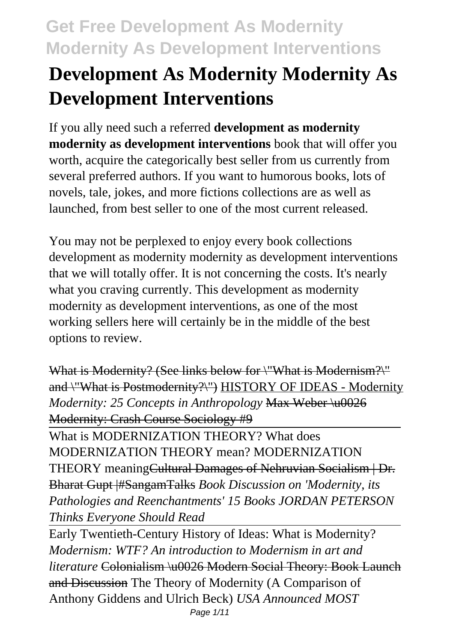# **Development As Modernity Modernity As Development Interventions**

If you ally need such a referred **development as modernity modernity as development interventions** book that will offer you worth, acquire the categorically best seller from us currently from several preferred authors. If you want to humorous books, lots of novels, tale, jokes, and more fictions collections are as well as launched, from best seller to one of the most current released.

You may not be perplexed to enjoy every book collections development as modernity modernity as development interventions that we will totally offer. It is not concerning the costs. It's nearly what you craving currently. This development as modernity modernity as development interventions, as one of the most working sellers here will certainly be in the middle of the best options to review.

What is Modernity? (See links below for \"What is Modernism?\" and \"What is Postmodernity?\") HISTORY OF IDEAS - Modernity *Modernity: 25 Concepts in Anthropology* Max Weber \u0026 Modernity: Crash Course Sociology #9

What is MODERNIZATION THEORY? What does MODERNIZATION THEORY mean? MODERNIZATION THEORY meaningCultural Damages of Nehruvian Socialism | Dr. Bharat Gupt |#SangamTalks *Book Discussion on 'Modernity, its Pathologies and Reenchantments' 15 Books JORDAN PETERSON Thinks Everyone Should Read*

Early Twentieth-Century History of Ideas: What is Modernity? *Modernism: WTF? An introduction to Modernism in art and literature* Colonialism \u0026 Modern Social Theory: Book Launch and Discussion The Theory of Modernity (A Comparison of Anthony Giddens and Ulrich Beck) *USA Announced MOST* Page 1/11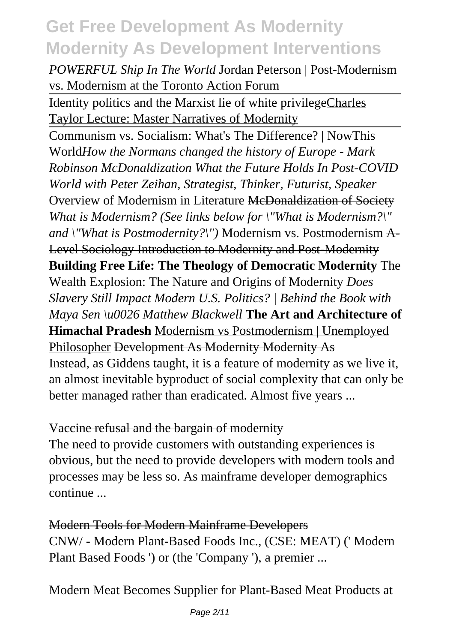*POWERFUL Ship In The World* Jordan Peterson | Post-Modernism vs. Modernism at the Toronto Action Forum

Identity politics and the Marxist lie of white privilegeCharles Taylor Lecture: Master Narratives of Modernity

Communism vs. Socialism: What's The Difference? | NowThis World*How the Normans changed the history of Europe - Mark Robinson McDonaldization What the Future Holds In Post-COVID World with Peter Zeihan, Strategist, Thinker, Futurist, Speaker* Overview of Modernism in Literature McDonaldization of Society *What is Modernism? (See links below for \"What is Modernism?\" and \"What is Postmodernity?\")* Modernism vs. Postmodernism A-Level Sociology Introduction to Modernity and Post-Modernity **Building Free Life: The Theology of Democratic Modernity** The Wealth Explosion: The Nature and Origins of Modernity *Does Slavery Still Impact Modern U.S. Politics? | Behind the Book with Maya Sen \u0026 Matthew Blackwell* **The Art and Architecture of Himachal Pradesh** Modernism vs Postmodernism | Unemployed Philosopher Development As Modernity Modernity As Instead, as Giddens taught, it is a feature of modernity as we live it, an almost inevitable byproduct of social complexity that can only be better managed rather than eradicated. Almost five years ...

#### Vaccine refusal and the bargain of modernity

The need to provide customers with outstanding experiences is obvious, but the need to provide developers with modern tools and processes may be less so. As mainframe developer demographics continue ...

#### Modern Tools for Modern Mainframe Developers

CNW/ - Modern Plant-Based Foods Inc., (CSE: MEAT) (' Modern Plant Based Foods ') or (the 'Company '), a premier ...

#### Modern Meat Becomes Supplier for Plant-Based Meat Products at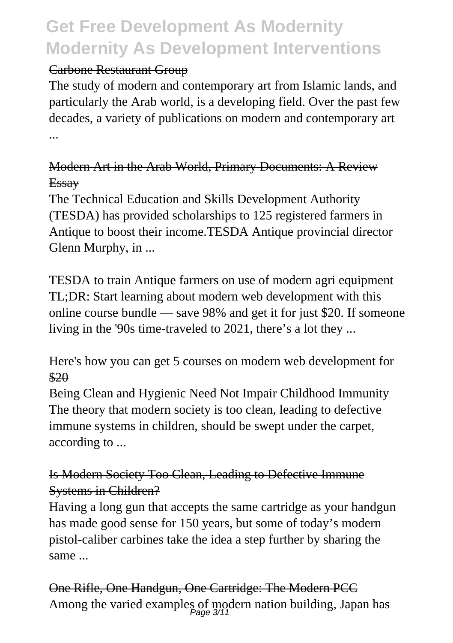#### Carbone Restaurant Group

The study of modern and contemporary art from Islamic lands, and particularly the Arab world, is a developing field. Over the past few decades, a variety of publications on modern and contemporary art ...

#### Modern Art in the Arab World, Primary Documents: A Review Essay

The Technical Education and Skills Development Authority (TESDA) has provided scholarships to 125 registered farmers in Antique to boost their income.TESDA Antique provincial director Glenn Murphy, in ...

#### TESDA to train Antique farmers on use of modern agri equipment TL;DR: Start learning about modern web development with this online course bundle — save 98% and get it for just \$20. If someone living in the '90s time-traveled to 2021, there's a lot they ...

#### Here's how you can get 5 courses on modern web development for \$20

Being Clean and Hygienic Need Not Impair Childhood Immunity The theory that modern society is too clean, leading to defective immune systems in children, should be swept under the carpet, according to ...

#### Is Modern Society Too Clean, Leading to Defective Immune Systems in Children?

Having a long gun that accepts the same cartridge as your handgun has made good sense for 150 years, but some of today's modern pistol-caliber carbines take the idea a step further by sharing the same ...

One Rifle, One Handgun, One Cartridge: The Modern PCC Among the varied examples of modern nation building, Japan has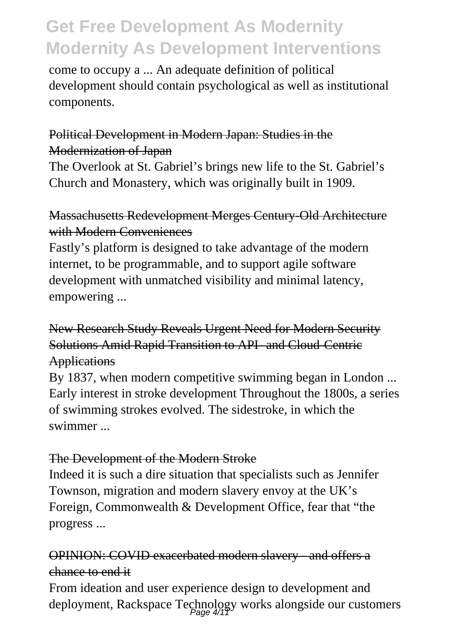come to occupy a ... An adequate definition of political development should contain psychological as well as institutional components.

#### Political Development in Modern Japan: Studies in the Modernization of Japan

The Overlook at St. Gabriel's brings new life to the St. Gabriel's Church and Monastery, which was originally built in 1909.

#### Massachusetts Redevelopment Merges Century-Old Architecture with Modern Conveniences

Fastly's platform is designed to take advantage of the modern internet, to be programmable, and to support agile software development with unmatched visibility and minimal latency, empowering ...

#### New Research Study Reveals Urgent Need for Modern Security Solutions Amid Rapid Transition to API- and Cloud-Centric **Applications**

By 1837, when modern competitive swimming began in London ... Early interest in stroke development Throughout the 1800s, a series of swimming strokes evolved. The sidestroke, in which the swimmer ...

#### The Development of the Modern Stroke

Indeed it is such a dire situation that specialists such as Jennifer Townson, migration and modern slavery envoy at the UK's Foreign, Commonwealth & Development Office, fear that "the progress ...

#### OPINION: COVID exacerbated modern slavery - and offers a chance to end it

From ideation and user experience design to development and deployment, Rackspace Technology works alongside our customers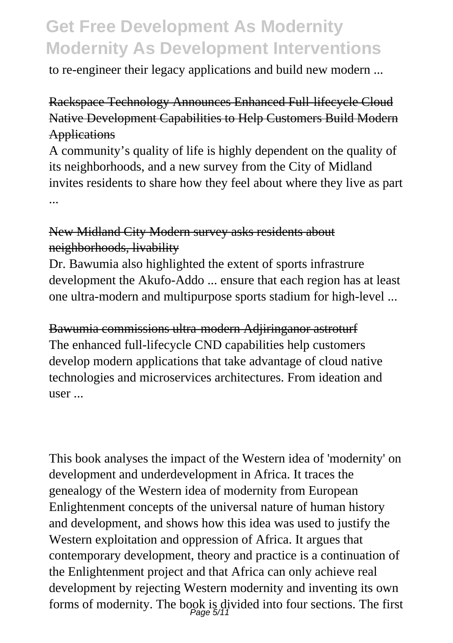to re-engineer their legacy applications and build new modern ...

#### Rackspace Technology Announces Enhanced Full-lifecycle Cloud Native Development Capabilities to Help Customers Build Modern **Applications**

A community's quality of life is highly dependent on the quality of its neighborhoods, and a new survey from the City of Midland invites residents to share how they feel about where they live as part ...

#### New Midland City Modern survey asks residents about neighborhoods, livability

Dr. Bawumia also highlighted the extent of sports infrastrure development the Akufo-Addo ... ensure that each region has at least one ultra-modern and multipurpose sports stadium for high-level ...

Bawumia commissions ultra-modern Adjiringanor astroturf The enhanced full-lifecycle CND capabilities help customers develop modern applications that take advantage of cloud native technologies and microservices architectures. From ideation and user ...

This book analyses the impact of the Western idea of 'modernity' on development and underdevelopment in Africa. It traces the genealogy of the Western idea of modernity from European Enlightenment concepts of the universal nature of human history and development, and shows how this idea was used to justify the Western exploitation and oppression of Africa. It argues that contemporary development, theory and practice is a continuation of the Enlightenment project and that Africa can only achieve real development by rejecting Western modernity and inventing its own forms of modernity. The book is divided into four sections. The first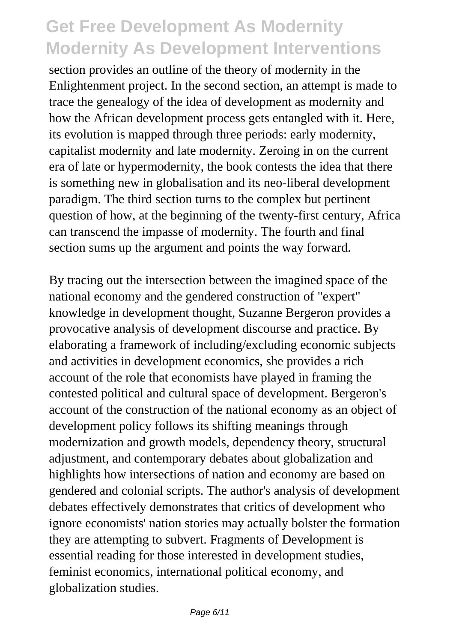section provides an outline of the theory of modernity in the Enlightenment project. In the second section, an attempt is made to trace the genealogy of the idea of development as modernity and how the African development process gets entangled with it. Here, its evolution is mapped through three periods: early modernity, capitalist modernity and late modernity. Zeroing in on the current era of late or hypermodernity, the book contests the idea that there is something new in globalisation and its neo-liberal development paradigm. The third section turns to the complex but pertinent question of how, at the beginning of the twenty-first century, Africa can transcend the impasse of modernity. The fourth and final section sums up the argument and points the way forward.

By tracing out the intersection between the imagined space of the national economy and the gendered construction of "expert" knowledge in development thought, Suzanne Bergeron provides a provocative analysis of development discourse and practice. By elaborating a framework of including/excluding economic subjects and activities in development economics, she provides a rich account of the role that economists have played in framing the contested political and cultural space of development. Bergeron's account of the construction of the national economy as an object of development policy follows its shifting meanings through modernization and growth models, dependency theory, structural adjustment, and contemporary debates about globalization and highlights how intersections of nation and economy are based on gendered and colonial scripts. The author's analysis of development debates effectively demonstrates that critics of development who ignore economists' nation stories may actually bolster the formation they are attempting to subvert. Fragments of Development is essential reading for those interested in development studies, feminist economics, international political economy, and globalization studies.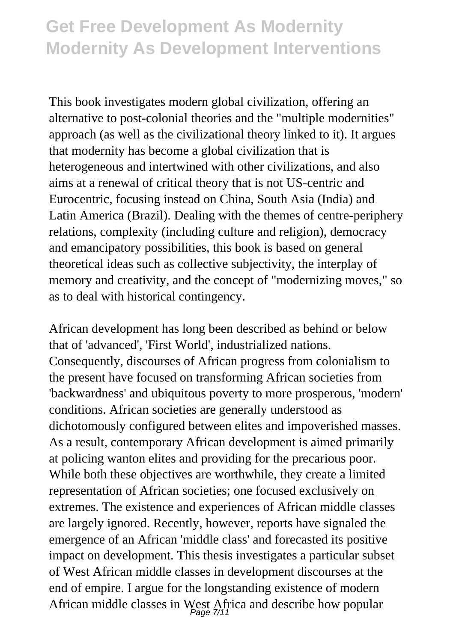This book investigates modern global civilization, offering an alternative to post-colonial theories and the "multiple modernities" approach (as well as the civilizational theory linked to it). It argues that modernity has become a global civilization that is heterogeneous and intertwined with other civilizations, and also aims at a renewal of critical theory that is not US-centric and Eurocentric, focusing instead on China, South Asia (India) and Latin America (Brazil). Dealing with the themes of centre-periphery relations, complexity (including culture and religion), democracy and emancipatory possibilities, this book is based on general theoretical ideas such as collective subjectivity, the interplay of memory and creativity, and the concept of "modernizing moves," so as to deal with historical contingency.

African development has long been described as behind or below that of 'advanced', 'First World', industrialized nations. Consequently, discourses of African progress from colonialism to the present have focused on transforming African societies from 'backwardness' and ubiquitous poverty to more prosperous, 'modern' conditions. African societies are generally understood as dichotomously configured between elites and impoverished masses. As a result, contemporary African development is aimed primarily at policing wanton elites and providing for the precarious poor. While both these objectives are worthwhile, they create a limited representation of African societies; one focused exclusively on extremes. The existence and experiences of African middle classes are largely ignored. Recently, however, reports have signaled the emergence of an African 'middle class' and forecasted its positive impact on development. This thesis investigates a particular subset of West African middle classes in development discourses at the end of empire. I argue for the longstanding existence of modern African middle classes in West Africa and describe how popular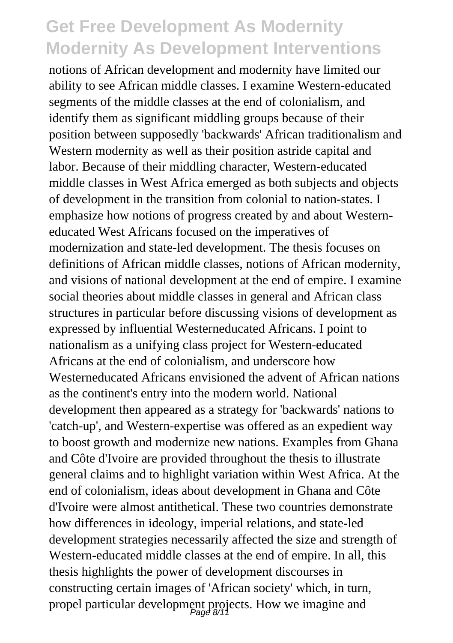notions of African development and modernity have limited our ability to see African middle classes. I examine Western-educated segments of the middle classes at the end of colonialism, and identify them as significant middling groups because of their position between supposedly 'backwards' African traditionalism and Western modernity as well as their position astride capital and labor. Because of their middling character, Western-educated middle classes in West Africa emerged as both subjects and objects of development in the transition from colonial to nation-states. I emphasize how notions of progress created by and about Westerneducated West Africans focused on the imperatives of modernization and state-led development. The thesis focuses on definitions of African middle classes, notions of African modernity, and visions of national development at the end of empire. I examine social theories about middle classes in general and African class structures in particular before discussing visions of development as expressed by influential Westerneducated Africans. I point to nationalism as a unifying class project for Western-educated Africans at the end of colonialism, and underscore how Westerneducated Africans envisioned the advent of African nations as the continent's entry into the modern world. National development then appeared as a strategy for 'backwards' nations to 'catch-up', and Western-expertise was offered as an expedient way to boost growth and modernize new nations. Examples from Ghana and Côte d'Ivoire are provided throughout the thesis to illustrate general claims and to highlight variation within West Africa. At the end of colonialism, ideas about development in Ghana and Côte d'Ivoire were almost antithetical. These two countries demonstrate how differences in ideology, imperial relations, and state-led development strategies necessarily affected the size and strength of Western-educated middle classes at the end of empire. In all, this thesis highlights the power of development discourses in constructing certain images of 'African society' which, in turn, propel particular development projects. How we imagine and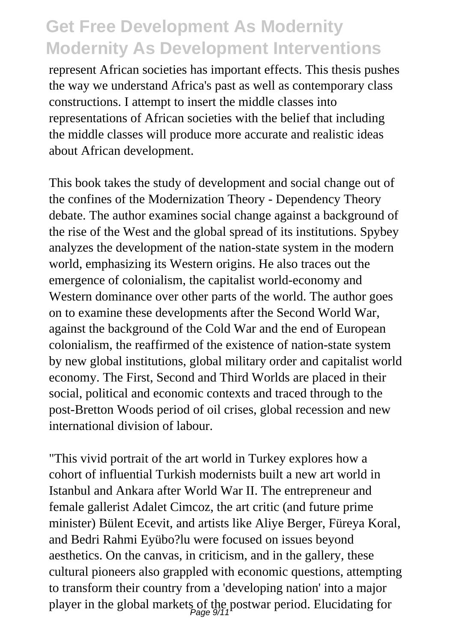represent African societies has important effects. This thesis pushes the way we understand Africa's past as well as contemporary class constructions. I attempt to insert the middle classes into representations of African societies with the belief that including the middle classes will produce more accurate and realistic ideas about African development.

This book takes the study of development and social change out of the confines of the Modernization Theory - Dependency Theory debate. The author examines social change against a background of the rise of the West and the global spread of its institutions. Spybey analyzes the development of the nation-state system in the modern world, emphasizing its Western origins. He also traces out the emergence of colonialism, the capitalist world-economy and Western dominance over other parts of the world. The author goes on to examine these developments after the Second World War, against the background of the Cold War and the end of European colonialism, the reaffirmed of the existence of nation-state system by new global institutions, global military order and capitalist world economy. The First, Second and Third Worlds are placed in their social, political and economic contexts and traced through to the post-Bretton Woods period of oil crises, global recession and new international division of labour.

"This vivid portrait of the art world in Turkey explores how a cohort of influential Turkish modernists built a new art world in Istanbul and Ankara after World War II. The entrepreneur and female gallerist Adalet Cimcoz, the art critic (and future prime minister) Bülent Ecevit, and artists like Aliye Berger, Füreya Koral, and Bedri Rahmi Eyübo?lu were focused on issues beyond aesthetics. On the canvas, in criticism, and in the gallery, these cultural pioneers also grappled with economic questions, attempting to transform their country from a 'developing nation' into a major player in the global markets of the postwar period. Elucidating for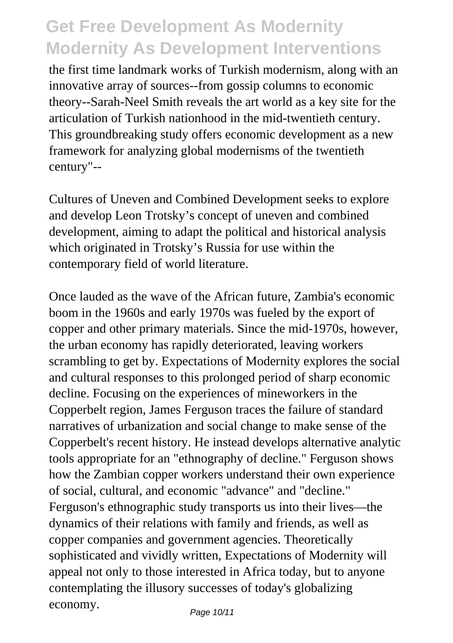the first time landmark works of Turkish modernism, along with an innovative array of sources--from gossip columns to economic theory--Sarah-Neel Smith reveals the art world as a key site for the articulation of Turkish nationhood in the mid-twentieth century. This groundbreaking study offers economic development as a new framework for analyzing global modernisms of the twentieth century"--

Cultures of Uneven and Combined Development seeks to explore and develop Leon Trotsky's concept of uneven and combined development, aiming to adapt the political and historical analysis which originated in Trotsky's Russia for use within the contemporary field of world literature.

Once lauded as the wave of the African future, Zambia's economic boom in the 1960s and early 1970s was fueled by the export of copper and other primary materials. Since the mid-1970s, however, the urban economy has rapidly deteriorated, leaving workers scrambling to get by. Expectations of Modernity explores the social and cultural responses to this prolonged period of sharp economic decline. Focusing on the experiences of mineworkers in the Copperbelt region, James Ferguson traces the failure of standard narratives of urbanization and social change to make sense of the Copperbelt's recent history. He instead develops alternative analytic tools appropriate for an "ethnography of decline." Ferguson shows how the Zambian copper workers understand their own experience of social, cultural, and economic "advance" and "decline." Ferguson's ethnographic study transports us into their lives—the dynamics of their relations with family and friends, as well as copper companies and government agencies. Theoretically sophisticated and vividly written, Expectations of Modernity will appeal not only to those interested in Africa today, but to anyone contemplating the illusory successes of today's globalizing economy. Page 10/11